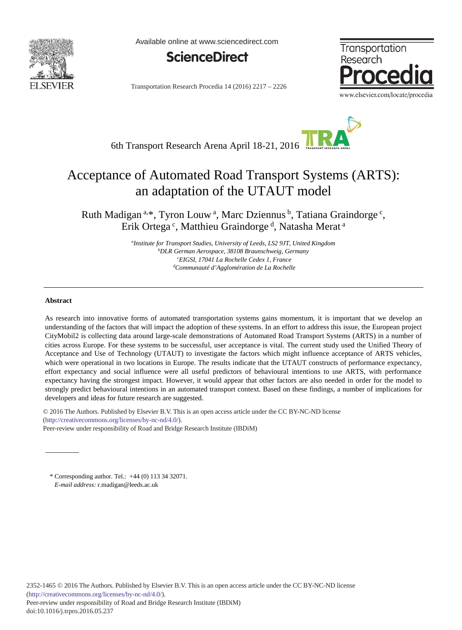

Available online at www.sciencedirect.com



Transportation Research Procedia 14 (2016) 2217 - 2226





# Acceptance of Automated Road Transport Systems (ARTS): an adaptation of the UTAUT model

Ruth Madigan<sup>a,\*</sup>, Tyron Louw<sup>a</sup>, Marc Dziennus<sup>b</sup>, Tatiana Graindorge<sup>c</sup>, Erik Ortega<sup>c</sup>, Matthieu Graindorge<sup>d</sup>, Natasha Merat<sup>a</sup>

> *a Institute for Transport Studies, University of Leeds, LS2 9JT, United Kingdom b DLR German Aerospace, 38108 Braunschweig, Germany c EIGSI, 17041 La Rochelle Cedex 1, France d Communauté d'Agglomération de La Rochelle*

## **Abstract**

As research into innovative forms of automated transportation systems gains momentum, it is important that we develop an understanding of the factors that will impact the adoption of these systems. In an effort to address this issue, the European project CityMobil2 is collecting data around large-scale demonstrations of Automated Road Transport Systems (ARTS) in a number of cities across Europe. For these systems to be successful, user acceptance is vital. The current study used the Unified Theory of Acceptance and Use of Technology (UTAUT) to investigate the factors which might influence acceptance of ARTS vehicles, which were operational in two locations in Europe. The results indicate that the UTAUT constructs of performance expectancy, effort expectancy and social influence were all useful predictors of behavioural intentions to use ARTS, with performance expectancy having the strongest impact. However, it would appear that other factors are also needed in order for the model to strongly predict behavioural intentions in an automated transport context. Based on these findings, a number of implications for developers and ideas for future research are suggested.

© 2016The Authors. Published by Elsevier B.V.. (http://creativecommons.org/licenses/by-nc-nd/4.0/). Peer-review under responsibility of Road and Bridge Research Institute (IBDiM). Peer-review under responsibility of Road and Bridge Research Institute (IBDiM)© 2016 The Authors. Published by Elsevier B.V. This is an open access article under the CC BY-NC-ND license

\* Corresponding author. Tel.: +44 (0) 113 34 32071. *E-mail address:* r.madigan@leeds.ac.uk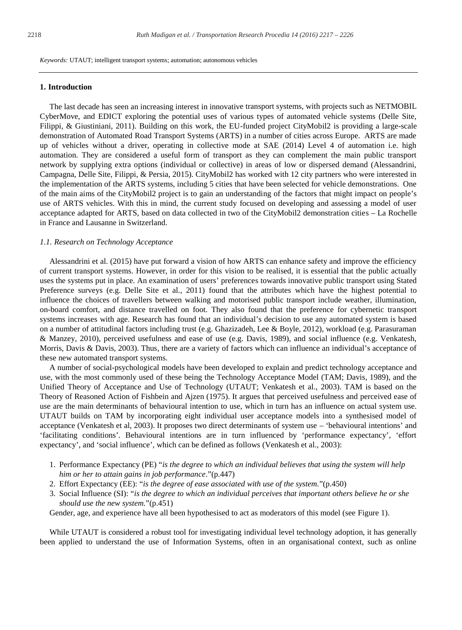*Keywords:* UTAUT; intelligent transport systems; automation; autonomous vehicles

# **1. Introduction**

The last decade has seen an increasing interest in innovative transport systems, with projects such as NETMOBIL CyberMove, and EDICT exploring the potential uses of various types of automated vehicle systems (Delle Site, Filippi, & Giustiniani, 2011). Building on this work, the EU-funded project CityMobil2 is providing a large-scale demonstration of Automated Road Transport Systems (ARTS) in a number of cities across Europe. ARTS are made up of vehicles without a driver, operating in collective mode at SAE (2014) Level 4 of automation i.e. high automation. They are considered a useful form of transport as they can complement the main public transport network by supplying extra options (individual or collective) in areas of low or dispersed demand (Alessandrini, Campagna, Delle Site, Filippi, & Persia, 2015). CityMobil2 has worked with 12 city partners who were interested in the implementation of the ARTS systems, including 5 cities that have been selected for vehicle demonstrations. One of the main aims of the CityMobil2 project is to gain an understanding of the factors that might impact on people's use of ARTS vehicles. With this in mind, the current study focused on developing and assessing a model of user acceptance adapted for ARTS, based on data collected in two of the CityMobil2 demonstration cities – La Rochelle in France and Lausanne in Switzerland.

## *1.1. Research on Technology Acceptance*

Alessandrini et al. (2015) have put forward a vision of how ARTS can enhance safety and improve the efficiency of current transport systems. However, in order for this vision to be realised, it is essential that the public actually uses the systems put in place. An examination of users' preferences towards innovative public transport using Stated Preference surveys (e.g. Delle Site et al., 2011) found that the attributes which have the highest potential to influence the choices of travellers between walking and motorised public transport include weather, illumination, on-board comfort, and distance travelled on foot. They also found that the preference for cybernetic transport systems increases with age. Research has found that an individual's decision to use any automated system is based on a number of attitudinal factors including trust (e.g. Ghazizadeh, Lee & Boyle, 2012), workload (e.g. Parasuraman & Manzey, 2010), perceived usefulness and ease of use (e.g. Davis, 1989), and social influence (e.g. Venkatesh, Morris, Davis & Davis, 2003). Thus, there are a variety of factors which can influence an individual's acceptance of these new automated transport systems.

A number of social-psychological models have been developed to explain and predict technology acceptance and use, with the most commonly used of these being the Technology Acceptance Model (TAM; Davis, 1989), and the Unified Theory of Acceptance and Use of Technology (UTAUT; Venkatesh et al., 2003). TAM is based on the Theory of Reasoned Action of Fishbein and Ajzen (1975). It argues that perceived usefulness and perceived ease of use are the main determinants of behavioural intention to use, which in turn has an influence on actual system use. UTAUT builds on TAM by incorporating eight individual user acceptance models into a synthesised model of acceptance (Venkatesh et al, 2003). It proposes two direct determinants of system use – 'behavioural intentions' and 'facilitating conditions'. Behavioural intentions are in turn influenced by 'performance expectancy', 'effort expectancy', and 'social influence', which can be defined as follows (Venkatesh et al., 2003):

- 1. Performance Expectancy (PE) "*is the degree to which an individual believes that using the system will help him or her to attain gains in job performance*."(p.447)
- 2. Effort Expectancy (EE): "*is the degree of ease associated with use of the system.*"(p.450)
- 3. Social Influence (SI): "*is the degree to which an individual perceives that important others believe he or she should use the new system.*"(p.451)

Gender, age, and experience have all been hypothesised to act as moderators of this model (see Figure 1).

While UTAUT is considered a robust tool for investigating individual level technology adoption, it has generally been applied to understand the use of Information Systems, often in an organisational context, such as online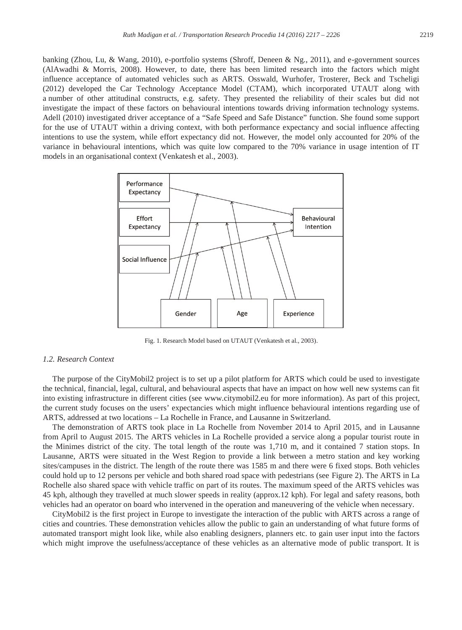banking (Zhou, Lu, & Wang, 2010), e-portfolio systems (Shroff, Deneen & Ng., 2011), and e-government sources (AlAwadhi & Morris, 2008). However, to date, there has been limited research into the factors which might influence acceptance of automated vehicles such as ARTS. Osswald, Wurhofer, Trosterer, Beck and Tscheligi (2012) developed the Car Technology Acceptance Model (CTAM), which incorporated UTAUT along with a number of other attitudinal constructs, e.g. safety. They presented the reliability of their scales but did not investigate the impact of these factors on behavioural intentions towards driving information technology systems. Adell (2010) investigated driver acceptance of a "Safe Speed and Safe Distance" function. She found some support for the use of UTAUT within a driving context, with both performance expectancy and social influence affecting intentions to use the system, while effort expectancy did not. However, the model only accounted for 20% of the variance in behavioural intentions, which was quite low compared to the 70% variance in usage intention of IT models in an organisational context (Venkatesh et al., 2003).



Fig. 1. Research Model based on UTAUT (Venkatesh et al., 2003).

# *1.2. Research Context*

The purpose of the CityMobil2 project is to set up a pilot platform for ARTS which could be used to investigate the technical, financial, legal, cultural, and behavioural aspects that have an impact on how well new systems can fit into existing infrastructure in different cities (see www.citymobil2.eu for more information). As part of this project, the current study focuses on the users' expectancies which might influence behavioural intentions regarding use of ARTS, addressed at two locations – La Rochelle in France, and Lausanne in Switzerland.

The demonstration of ARTS took place in La Rochelle from November 2014 to April 2015, and in Lausanne from April to August 2015. The ARTS vehicles in La Rochelle provided a service along a popular tourist route in the Minimes district of the city. The total length of the route was 1,710 m, and it contained 7 station stops. In Lausanne, ARTS were situated in the West Region to provide a link between a metro station and key working sites/campuses in the district. The length of the route there was 1585 m and there were 6 fixed stops. Both vehicles could hold up to 12 persons per vehicle and both shared road space with pedestrians (see Figure 2). The ARTS in La Rochelle also shared space with vehicle traffic on part of its routes. The maximum speed of the ARTS vehicles was 45 kph, although they travelled at much slower speeds in reality (approx.12 kph). For legal and safety reasons, both vehicles had an operator on board who intervened in the operation and maneuvering of the vehicle when necessary.

CityMobil2 is the first project in Europe to investigate the interaction of the public with ARTS across a range of cities and countries. These demonstration vehicles allow the public to gain an understanding of what future forms of automated transport might look like, while also enabling designers, planners etc. to gain user input into the factors which might improve the usefulness/acceptance of these vehicles as an alternative mode of public transport. It is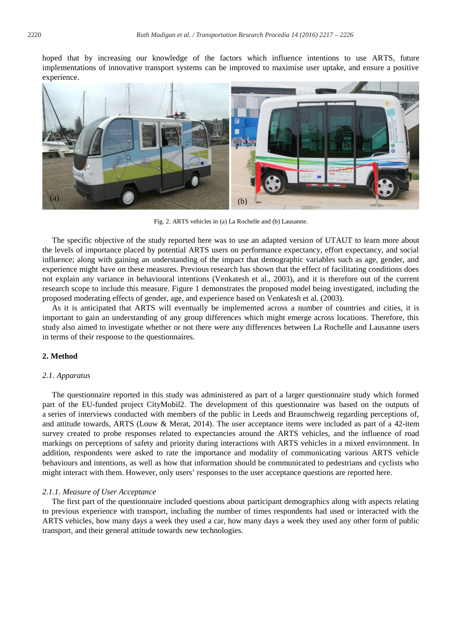hoped that by increasing our knowledge of the factors which influence intentions to use ARTS, future implementations of innovative transport systems can be improved to maximise user uptake, and ensure a positive experience.



Fig. 2. ARTS vehicles in (a) La Rochelle and (b) Lausanne.

The specific objective of the study reported here was to use an adapted version of UTAUT to learn more about the levels of importance placed by potential ARTS users on performance expectancy, effort expectancy, and social influence; along with gaining an understanding of the impact that demographic variables such as age, gender, and experience might have on these measures. Previous research has shown that the effect of facilitating conditions does not explain any variance in behavioural intentions (Venkatesh et al., 2003), and it is therefore out of the current research scope to include this measure. Figure 1 demonstrates the proposed model being investigated, including the proposed moderating effects of gender, age, and experience based on Venkatesh et al. (2003).

As it is anticipated that ARTS will eventually be implemented across a number of countries and cities, it is important to gain an understanding of any group differences which might emerge across locations. Therefore, this study also aimed to investigate whether or not there were any differences between La Rochelle and Lausanne users in terms of their response to the questionnaires.

# **2. Method**

#### *2.1. Apparatus*

The questionnaire reported in this study was administered as part of a larger questionnaire study which formed part of the EU-funded project CityMobil2. The development of this questionnaire was based on the outputs of a series of interviews conducted with members of the public in Leeds and Braunschweig regarding perceptions of, and attitude towards, ARTS (Louw & Merat, 2014). The user acceptance items were included as part of a 42-item survey created to probe responses related to expectancies around the ARTS vehicles, and the influence of road markings on perceptions of safety and priority during interactions with ARTS vehicles in a mixed environment. In addition, respondents were asked to rate the importance and modality of communicating various ARTS vehicle behaviours and intentions, as well as how that information should be communicated to pedestrians and cyclists who might interact with them. However, only users' responses to the user acceptance questions are reported here.

## *2.1.1. Measure of User Acceptance*

The first part of the questionnaire included questions about participant demographics along with aspects relating to previous experience with transport, including the number of times respondents had used or interacted with the ARTS vehicles, how many days a week they used a car, how many days a week they used any other form of public transport, and their general attitude towards new technologies.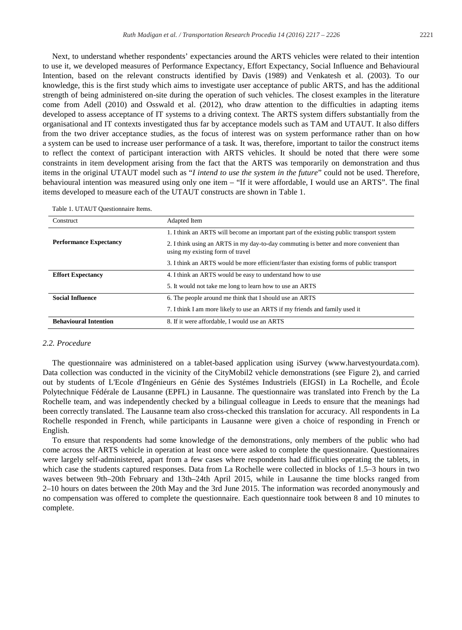Next, to understand whether respondents' expectancies around the ARTS vehicles were related to their intention to use it, we developed measures of Performance Expectancy, Effort Expectancy, Social Influence and Behavioural Intention, based on the relevant constructs identified by Davis (1989) and Venkatesh et al. (2003). To our knowledge, this is the first study which aims to investigate user acceptance of public ARTS, and has the additional strength of being administered on-site during the operation of such vehicles. The closest examples in the literature come from Adell (2010) and Osswald et al. (2012), who draw attention to the difficulties in adapting items developed to assess acceptance of IT systems to a driving context. The ARTS system differs substantially from the organisational and IT contexts investigated thus far by acceptance models such as TAM and UTAUT. It also differs from the two driver acceptance studies, as the focus of interest was on system performance rather than on how a system can be used to increase user performance of a task. It was, therefore, important to tailor the construct items to reflect the context of participant interaction with ARTS vehicles. It should be noted that there were some constraints in item development arising from the fact that the ARTS was temporarily on demonstration and thus items in the original UTAUT model such as "*I intend to use the system in the future*" could not be used. Therefore, behavioural intention was measured using only one item – "If it were affordable, I would use an ARTS". The final items developed to measure each of the UTAUT constructs are shown in Table 1.

| Table 1. C 1710 I Questionnante fiems. |                                                                                                                            |  |  |
|----------------------------------------|----------------------------------------------------------------------------------------------------------------------------|--|--|
| Construct                              | Adapted Item                                                                                                               |  |  |
|                                        | 1. I think an ARTS will become an important part of the existing public transport system                                   |  |  |
| <b>Performance Expectancy</b>          | 2. I think using an ARTS in my day-to-day commuting is better and more convenient than<br>using my existing form of travel |  |  |
|                                        | 3. I think an ARTS would be more efficient/faster than existing forms of public transport                                  |  |  |
| <b>Effort Expectancy</b>               | 4. I think an ARTS would be easy to understand how to use                                                                  |  |  |
|                                        | 5. It would not take me long to learn how to use an ARTS                                                                   |  |  |
| <b>Social Influence</b>                | 6. The people around me think that I should use an ARTS                                                                    |  |  |
|                                        | 7. I think I am more likely to use an ARTS if my friends and family used it                                                |  |  |
| <b>Behavioural Intention</b>           | 8. If it were affordable, I would use an ARTS                                                                              |  |  |

|  |  | Table 1. UTAUT Questionnaire Items. |  |
|--|--|-------------------------------------|--|
|--|--|-------------------------------------|--|

# *2.2. Procedure*

The questionnaire was administered on a tablet-based application using iSurvey (www.harvestyourdata.com). Data collection was conducted in the vicinity of the CityMobil2 vehicle demonstrations (see Figure 2), and carried out by students of L'Ecole d'Ingénieurs en Génie des Systémes Industriels (EIGSI) in La Rochelle, and École Polytechnique Fédérale de Lausanne (EPFL) in Lausanne. The questionnaire was translated into French by the La Rochelle team, and was independently checked by a bilingual colleague in Leeds to ensure that the meanings had been correctly translated. The Lausanne team also cross-checked this translation for accuracy. All respondents in La Rochelle responded in French, while participants in Lausanne were given a choice of responding in French or English.

To ensure that respondents had some knowledge of the demonstrations, only members of the public who had come across the ARTS vehicle in operation at least once were asked to complete the questionnaire. Questionnaires were largely self-administered, apart from a few cases where respondents had difficulties operating the tablets, in which case the students captured responses. Data from La Rochelle were collected in blocks of 1.5–3 hours in two waves between 9th–20th February and 13th–24th April 2015, while in Lausanne the time blocks ranged from 2–10 hours on dates between the 20th May and the 3rd June 2015. The information was recorded anonymously and no compensation was offered to complete the questionnaire. Each questionnaire took between 8 and 10 minutes to complete.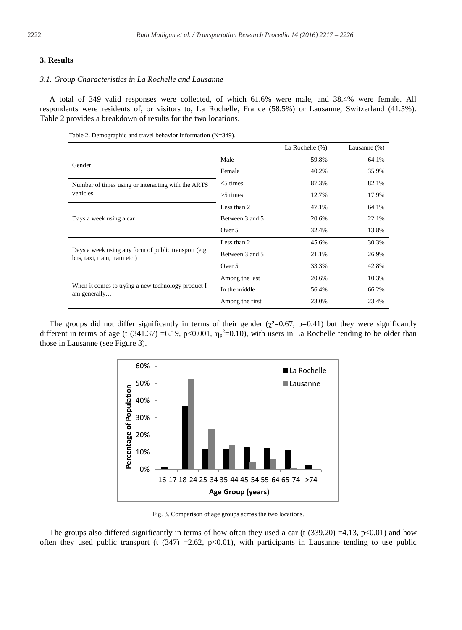## **3. Results**

### *3.1. Group Characteristics in La Rochelle and Lausanne*

A total of 349 valid responses were collected, of which 61.6% were male, and 38.4% were female. All respondents were residents of, or visitors to, La Rochelle, France (58.5%) or Lausanne, Switzerland (41.5%). Table 2 provides a breakdown of results for the two locations.

|                                                                                      |                 | La Rochelle (%) | Lausanne $(\%)$ |
|--------------------------------------------------------------------------------------|-----------------|-----------------|-----------------|
| Gender                                                                               | Male            | 59.8%           | 64.1%           |
|                                                                                      | Female          | 40.2%           | 35.9%           |
| Number of times using or interacting with the ARTS                                   | $<$ 5 times     | 87.3%           | 82.1%           |
| vehicles                                                                             | $>5$ times      | 12.7%           | 17.9%           |
|                                                                                      | Less than 2     | 47.1%           | 64.1%           |
| Days a week using a car                                                              | Between 3 and 5 | 20.6%           | 22.1%           |
|                                                                                      | Over 5          | 32.4%           | 13.8%           |
|                                                                                      | Less than 2     | 45.6%           | 30.3%           |
| Days a week using any form of public transport (e.g.<br>bus, taxi, train, tram etc.) | Between 3 and 5 | 21.1%           | 26.9%           |
|                                                                                      | Over 5          | 33.3%           | 42.8%           |
|                                                                                      | Among the last  | 20.6%           | 10.3%           |
| When it comes to trying a new technology product I<br>am generally                   | In the middle   | 56.4%           | 66.2%           |
|                                                                                      | Among the first | 23.0%           | 23.4%           |

Table 2. Demographic and travel behavior information (N=349).

The groups did not differ significantly in terms of their gender ( $\chi^2$ =0.67, p=0.41) but they were significantly different in terms of age (t (341.37) = 6.19, p<0.001,  $\eta_p^2$  = 0.10), with users in La Rochelle tending to be older than those in Lausanne (see Figure 3).



Fig. 3. Comparison of age groups across the two locations.

The groups also differed significantly in terms of how often they used a car (t  $(339.20) = 4.13$ , p<0.01) and how often they used public transport (t  $(347) = 2.62$ ,  $p < 0.01$ ), with participants in Lausanne tending to use public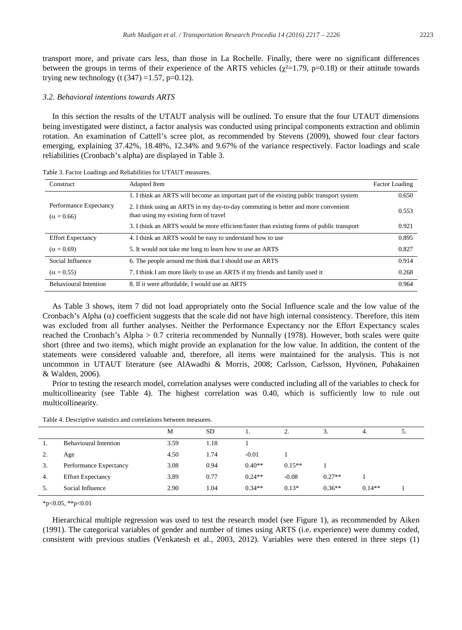transport more, and private cars less, than those in La Rochelle. Finally, there were no significant differences between the groups in terms of their experience of the ARTS vehicles ( $\chi^2=1.79$ , p=0.18) or their attitude towards trying new technology (t  $(347) = 1.57$ , p=0.12).

# *3.2. Behavioral intentions towards ARTS*

In this section the results of the UTAUT analysis will be outlined. To ensure that the four UTAUT dimensions being investigated were distinct, a factor analysis was conducted using principal components extraction and oblimin rotation. An examination of Cattell's scree plot, as recommended by Stevens (2009), showed four clear factors emerging, explaining 37.42%, 18.48%, 12.34% and 9.67% of the variance respectively. Factor loadings and scale reliabilities (Cronbach's alpha) are displayed in Table 3.

| Construct                                   | Adapted Item                                                                                                               | Factor Loading |
|---------------------------------------------|----------------------------------------------------------------------------------------------------------------------------|----------------|
|                                             | 1. I think an ARTS will become an important part of the existing public transport system                                   | 0.650          |
| Performance Expectancy<br>$(\alpha = 0.66)$ | 2. I think using an ARTS in my day-to-day commuting is better and more convenient<br>than using my existing form of travel | 0.553          |
|                                             | 3. I think an ARTS would be more efficient/faster than existing forms of public transport                                  | 0.921          |
| <b>Effort Expectancy</b>                    | 4. I think an ARTS would be easy to understand how to use                                                                  | 0.895          |
| $(\alpha = 0.69)$                           | 5. It would not take me long to learn how to use an ARTS                                                                   | 0.827          |
| Social Influence                            | 6. The people around me think that I should use an ARTS                                                                    | 0.914          |
| $(\alpha = 0.55)$                           | 7. I think I am more likely to use an ARTS if my friends and family used it                                                | 0.268          |
| <b>Behavioural Intention</b>                | 8. If it were affordable, I would use an ARTS                                                                              | 0.964          |

Table 3. Factor Loadings and Reliabilities for UTAUT measures.

As Table 3 shows, item 7 did not load appropriately onto the Social Influence scale and the low value of the Cronbach's Alpha  $(\alpha)$  coefficient suggests that the scale did not have high internal consistency. Therefore, this item was excluded from all further analyses. Neither the Performance Expectancy nor the Effort Expectancy scales reached the Cronbach's Alpha > 0.7 criteria recommended by Nunnally (1978). However, both scales were quite short (three and two items), which might provide an explanation for the low value. In addition, the content of the statements were considered valuable and, therefore, all items were maintained for the analysis. This is not uncommon in UTAUT literature (see AlAwadhi & Morris, 2008; Carlsson, Carlsson, Hyvönen, Puhakainen & Walden, 2006).

Prior to testing the research model, correlation analyses were conducted including all of the variables to check for multicollinearity (see Table 4). The highest correlation was 0.40, which is sufficiently low to rule out multicollinearity.

Table 4. Descriptive statistics and correlations between measures.

|    |                              | M    | <b>SD</b> |          | ۷.       | 3.       | 4.       | J. |
|----|------------------------------|------|-----------|----------|----------|----------|----------|----|
| 1. | <b>Behavioural Intention</b> | 3.59 | 1.18      |          |          |          |          |    |
| 2. | Age                          | 4.50 | 1.74      | $-0.01$  |          |          |          |    |
| 3. | Performance Expectancy       | 3.08 | 0.94      | $0.40**$ | $0.15**$ |          |          |    |
| 4. | <b>Effort Expectancy</b>     | 3.89 | 0.77      | $0.24**$ | $-0.08$  | $0.27**$ |          |    |
|    | Social Influence             | 2.90 | 1.04      | $0.34**$ | $0.13*$  | $0.36**$ | $0.14**$ |    |
|    |                              |      |           |          |          |          |          |    |

 $*p<0.05$ ,  $*p<0.01$ 

Hierarchical multiple regression was used to test the research model (see Figure 1), as recommended by Aiken (1991). The categorical variables of gender and number of times using ARTS (i.e. experience) were dummy coded, consistent with previous studies (Venkatesh et al., 2003, 2012). Variables were then entered in three steps (1)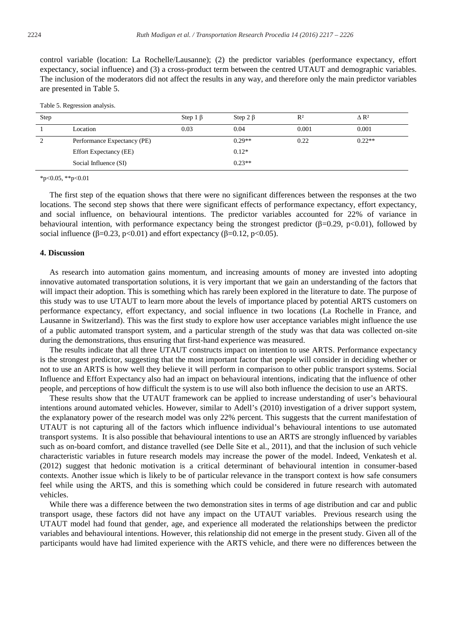control variable (location: La Rochelle/Lausanne); (2) the predictor variables (performance expectancy, effort expectancy, social influence) and (3) a cross-product term between the centred UTAUT and demographic variables. The inclusion of the moderators did not affect the results in any way, and therefore only the main predictor variables are presented in Table 5.

|  | Table 5. Regression analysis. |  |
|--|-------------------------------|--|
|--|-------------------------------|--|

| Step |                               | Step $1 \beta$ | Step $2 \beta$ | $R^2$ | $\triangle R^2$ |
|------|-------------------------------|----------------|----------------|-------|-----------------|
|      | Location                      | 0.03           | 0.04           | 0.001 | 0.001           |
|      | Performance Expectancy (PE)   |                | $0.29**$       | 0.22  | $0.22**$        |
|      | <b>Effort Expectancy (EE)</b> |                | $0.12*$        |       |                 |
|      | Social Influence (SI)         |                | $0.23**$       |       |                 |

 $*p<0.05$ ,  $*p<0.01$ 

The first step of the equation shows that there were no significant differences between the responses at the two locations. The second step shows that there were significant effects of performance expectancy, effort expectancy, and social influence, on behavioural intentions. The predictor variables accounted for 22% of variance in behavioural intention, with performance expectancy being the strongest predictor (β=0.29, p<0.01), followed by social influence ( $\beta$ =0.23, p<0.01) and effort expectancy ( $\beta$ =0.12, p<0.05).

## **4. Discussion**

As research into automation gains momentum, and increasing amounts of money are invested into adopting innovative automated transportation solutions, it is very important that we gain an understanding of the factors that will impact their adoption. This is something which has rarely been explored in the literature to date. The purpose of this study was to use UTAUT to learn more about the levels of importance placed by potential ARTS customers on performance expectancy, effort expectancy, and social influence in two locations (La Rochelle in France, and Lausanne in Switzerland). This was the first study to explore how user acceptance variables might influence the use of a public automated transport system, and a particular strength of the study was that data was collected on-site during the demonstrations, thus ensuring that first-hand experience was measured.

The results indicate that all three UTAUT constructs impact on intention to use ARTS. Performance expectancy is the strongest predictor, suggesting that the most important factor that people will consider in deciding whether or not to use an ARTS is how well they believe it will perform in comparison to other public transport systems. Social Influence and Effort Expectancy also had an impact on behavioural intentions, indicating that the influence of other people, and perceptions of how difficult the system is to use will also both influence the decision to use an ARTS.

These results show that the UTAUT framework can be applied to increase understanding of user's behavioural intentions around automated vehicles. However, similar to Adell's (2010) investigation of a driver support system, the explanatory power of the research model was only 22% percent. This suggests that the current manifestation of UTAUT is not capturing all of the factors which influence individual's behavioural intentions to use automated transport systems. It is also possible that behavioural intentions to use an ARTS are strongly influenced by variables such as on-board comfort, and distance travelled (see Delle Site et al., 2011), and that the inclusion of such vehicle characteristic variables in future research models may increase the power of the model. Indeed, Venkatesh et al. (2012) suggest that hedonic motivation is a critical determinant of behavioural intention in consumer-based contexts. Another issue which is likely to be of particular relevance in the transport context is how safe consumers feel while using the ARTS, and this is something which could be considered in future research with automated vehicles.

While there was a difference between the two demonstration sites in terms of age distribution and car and public transport usage, these factors did not have any impact on the UTAUT variables. Previous research using the UTAUT model had found that gender, age, and experience all moderated the relationships between the predictor variables and behavioural intentions. However, this relationship did not emerge in the present study. Given all of the participants would have had limited experience with the ARTS vehicle, and there were no differences between the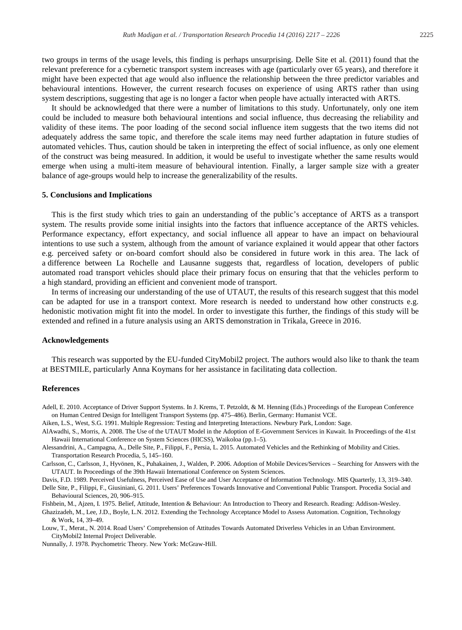two groups in terms of the usage levels, this finding is perhaps unsurprising. Delle Site et al. (2011) found that the relevant preference for a cybernetic transport system increases with age (particularly over 65 years), and therefore it might have been expected that age would also influence the relationship between the three predictor variables and behavioural intentions. However, the current research focuses on experience of using ARTS rather than using system descriptions, suggesting that age is no longer a factor when people have actually interacted with ARTS.

It should be acknowledged that there were a number of limitations to this study. Unfortunately, only one item could be included to measure both behavioural intentions and social influence, thus decreasing the reliability and validity of these items. The poor loading of the second social influence item suggests that the two items did not adequately address the same topic, and therefore the scale items may need further adaptation in future studies of automated vehicles. Thus, caution should be taken in interpreting the effect of social influence, as only one element of the construct was being measured. In addition, it would be useful to investigate whether the same results would emerge when using a multi-item measure of behavioural intention. Finally, a larger sample size with a greater balance of age-groups would help to increase the generalizability of the results.

#### **5. Conclusions and Implications**

This is the first study which tries to gain an understanding of the public's acceptance of ARTS as a transport system. The results provide some initial insights into the factors that influence acceptance of the ARTS vehicles. Performance expectancy, effort expectancy, and social influence all appear to have an impact on behavioural intentions to use such a system, although from the amount of variance explained it would appear that other factors e.g. perceived safety or on-board comfort should also be considered in future work in this area. The lack of a difference between La Rochelle and Lausanne suggests that, regardless of location, developers of public automated road transport vehicles should place their primary focus on ensuring that that the vehicles perform to a high standard, providing an efficient and convenient mode of transport.

In terms of increasing our understanding of the use of UTAUT, the results of this research suggest that this model can be adapted for use in a transport context. More research is needed to understand how other constructs e.g. hedonistic motivation might fit into the model. In order to investigate this further, the findings of this study will be extended and refined in a future analysis using an ARTS demonstration in Trikala, Greece in 2016.

## **Acknowledgements**

This research was supported by the EU-funded CityMobil2 project. The authors would also like to thank the team at BESTMILE, particularly Anna Koymans for her assistance in facilitating data collection.

## **References**

- Adell, E. 2010. Acceptance of Driver Support Systems. In J. Krems, T. Petzoldt, & M. Henning (Eds.) Proceedings of the European Conference on Human Centred Design for Intelligent Transport Systems (pp. 475–486). Berlin, Germany: Humanist VCE.
- Aiken, L.S., West, S.G. 1991. Multiple Regression: Testing and Interpreting Interactions. Newbury Park, London: Sage.
- AlAwadhi, S., Morris, A. 2008. The Use of the UTAUT Model in the Adoption of E-Government Services in Kuwait. In Proceedings of the 41st Hawaii International Conference on System Sciences (HICSS), Waikoloa (pp.1–5).
- Alessandrini, A., Campagna, A., Delle Site, P., Filippi, F., Persia, L. 2015. Automated Vehicles and the Rethinking of Mobility and Cities. Transportation Research Procedia, 5, 145–160.
- Carlsson, C., Carlsson, J., Hyvönen, K., Puhakainen, J., Walden, P. 2006. Adoption of Mobile Devices/Services Searching for Answers with the UTAUT. In Proceedings of the 39th Hawaii International Conference on System Sciences.

Davis, F.D. 1989. Perceived Usefulness, Perceived Ease of Use and User Acceptance of Information Technology. MIS Quarterly, 13, 319–340.

Delle Site, P., Filippi, F., Giusiniani, G. 2011. Users' Preferences Towards Innovative and Conventional Public Transport. Procedia Social and Behavioural Sciences, 20, 906–915.

Fishbein, M., Ajzen, I. 1975. Belief, Attitude, Intention & Behaviour: An Introduction to Theory and Research. Reading: Addison-Wesley.

Ghazizadeh, M., Lee, J.D., Boyle, L.N. 2012. Extending the Technology Acceptance Model to Assess Automation. Cognition, Technology & Work, 14, 39–49.

Louw, T., Merat., N. 2014. Road Users' Comprehension of Attitudes Towards Automated Driverless Vehicles in an Urban Environment. CityMobil2 Internal Project Deliverable.

Nunnally, J. 1978. Psychometric Theory. New York: McGraw-Hill.